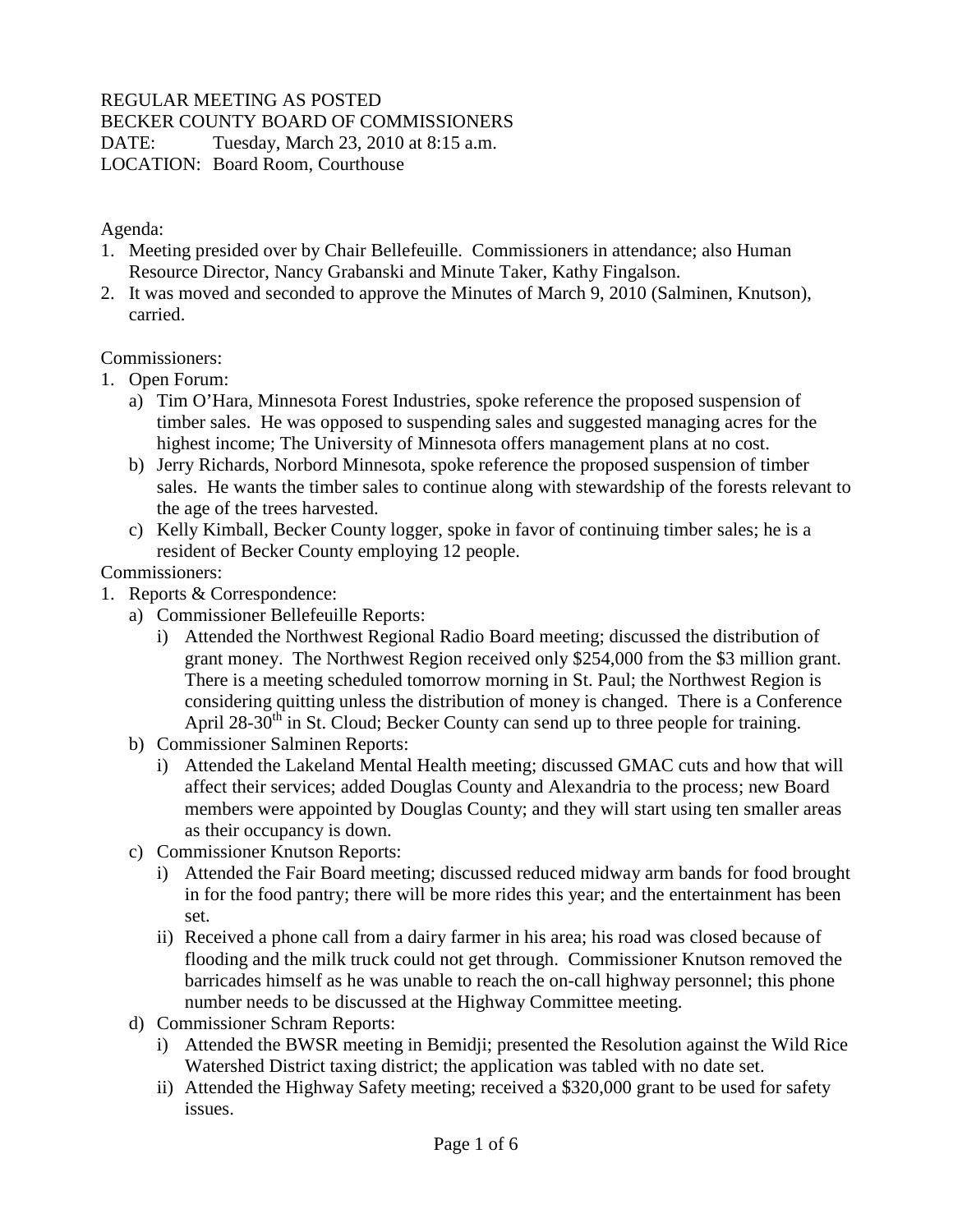## REGULAR MEETING AS POSTED

BECKER COUNTY BOARD OF COMMISSIONERS

DATE: Tuesday, March 23, 2010 at 8:15 a.m.

LOCATION: Board Room, Courthouse

## Agenda:

- 1. Meeting presided over by Chair Bellefeuille. Commissioners in attendance; also Human Resource Director, Nancy Grabanski and Minute Taker, Kathy Fingalson.
- 2. It was moved and seconded to approve the Minutes of March 9, 2010 (Salminen, Knutson), carried.

## Commissioners:

- 1. Open Forum:
	- a) Tim O'Hara, Minnesota Forest Industries, spoke reference the proposed suspension of timber sales. He was opposed to suspending sales and suggested managing acres for the highest income; The University of Minnesota offers management plans at no cost.
	- b) Jerry Richards, Norbord Minnesota, spoke reference the proposed suspension of timber sales. He wants the timber sales to continue along with stewardship of the forests relevant to the age of the trees harvested.
	- c) Kelly Kimball, Becker County logger, spoke in favor of continuing timber sales; he is a resident of Becker County employing 12 people.

Commissioners:

- 1. Reports & Correspondence:
	- a) Commissioner Bellefeuille Reports:
		- i) Attended the Northwest Regional Radio Board meeting; discussed the distribution of grant money. The Northwest Region received only \$254,000 from the \$3 million grant. There is a meeting scheduled tomorrow morning in St. Paul; the Northwest Region is considering quitting unless the distribution of money is changed. There is a Conference April  $28-30<sup>th</sup>$  in St. Cloud; Becker County can send up to three people for training.
	- b) Commissioner Salminen Reports:
		- i) Attended the Lakeland Mental Health meeting; discussed GMAC cuts and how that will affect their services; added Douglas County and Alexandria to the process; new Board members were appointed by Douglas County; and they will start using ten smaller areas as their occupancy is down.
	- c) Commissioner Knutson Reports:
		- i) Attended the Fair Board meeting; discussed reduced midway arm bands for food brought in for the food pantry; there will be more rides this year; and the entertainment has been set.
		- ii) Received a phone call from a dairy farmer in his area; his road was closed because of flooding and the milk truck could not get through. Commissioner Knutson removed the barricades himself as he was unable to reach the on-call highway personnel; this phone number needs to be discussed at the Highway Committee meeting.
	- d) Commissioner Schram Reports:
		- i) Attended the BWSR meeting in Bemidji; presented the Resolution against the Wild Rice Watershed District taxing district; the application was tabled with no date set.
		- ii) Attended the Highway Safety meeting; received a \$320,000 grant to be used for safety issues.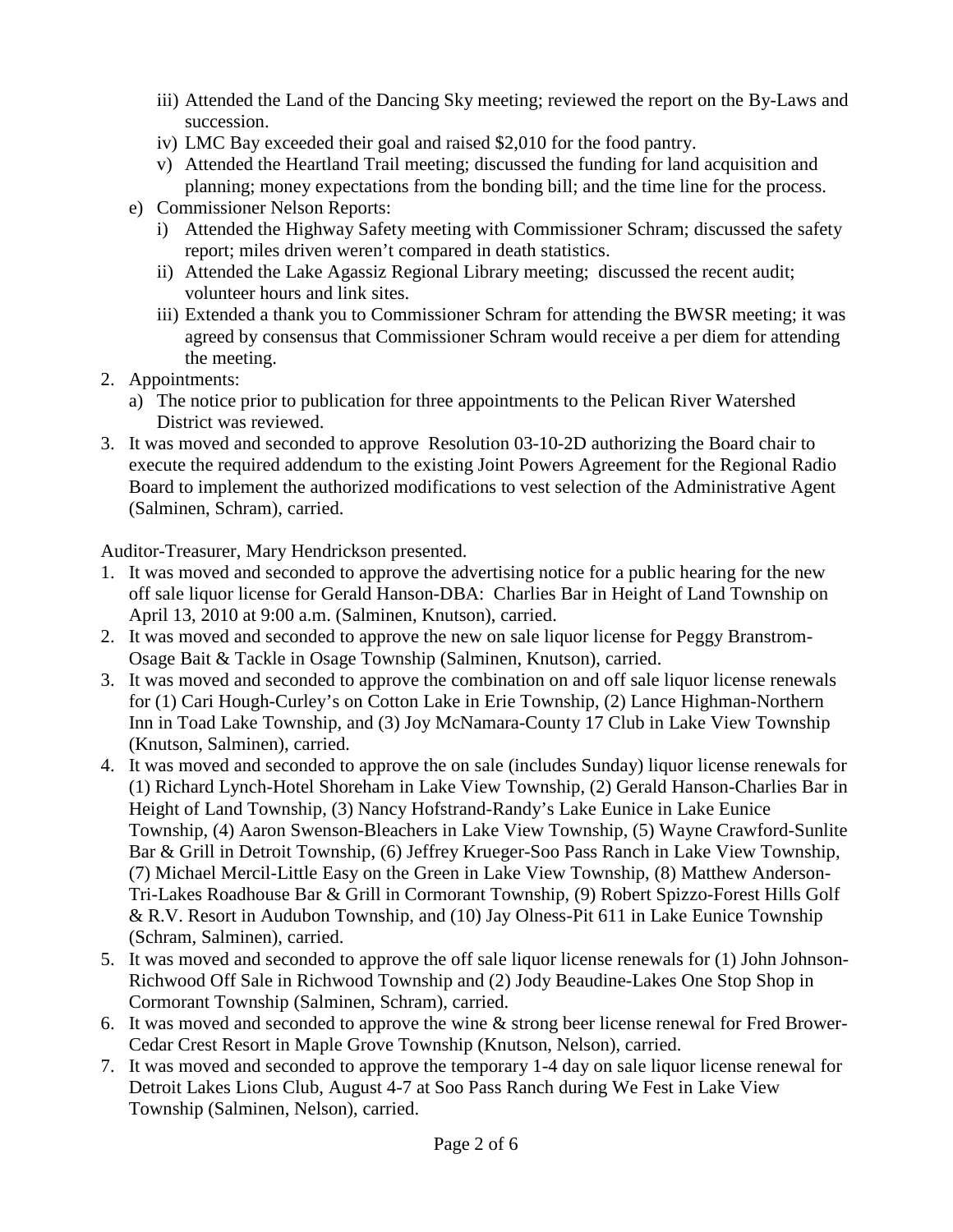- iii) Attended the Land of the Dancing Sky meeting; reviewed the report on the By-Laws and succession.
- iv) LMC Bay exceeded their goal and raised \$2,010 for the food pantry.
- v) Attended the Heartland Trail meeting; discussed the funding for land acquisition and planning; money expectations from the bonding bill; and the time line for the process.
- e) Commissioner Nelson Reports:
	- i) Attended the Highway Safety meeting with Commissioner Schram; discussed the safety report; miles driven weren't compared in death statistics.
	- ii) Attended the Lake Agassiz Regional Library meeting; discussed the recent audit; volunteer hours and link sites.
	- iii) Extended a thank you to Commissioner Schram for attending the BWSR meeting; it was agreed by consensus that Commissioner Schram would receive a per diem for attending the meeting.
- 2. Appointments:
	- a) The notice prior to publication for three appointments to the Pelican River Watershed District was reviewed.
- 3. It was moved and seconded to approve Resolution 03-10-2D authorizing the Board chair to execute the required addendum to the existing Joint Powers Agreement for the Regional Radio Board to implement the authorized modifications to vest selection of the Administrative Agent (Salminen, Schram), carried.

Auditor-Treasurer, Mary Hendrickson presented.

- 1. It was moved and seconded to approve the advertising notice for a public hearing for the new off sale liquor license for Gerald Hanson-DBA: Charlies Bar in Height of Land Township on April 13, 2010 at 9:00 a.m. (Salminen, Knutson), carried.
- 2. It was moved and seconded to approve the new on sale liquor license for Peggy Branstrom-Osage Bait & Tackle in Osage Township (Salminen, Knutson), carried.
- 3. It was moved and seconded to approve the combination on and off sale liquor license renewals for (1) Cari Hough-Curley's on Cotton Lake in Erie Township, (2) Lance Highman-Northern Inn in Toad Lake Township, and (3) Joy McNamara-County 17 Club in Lake View Township (Knutson, Salminen), carried.
- 4. It was moved and seconded to approve the on sale (includes Sunday) liquor license renewals for (1) Richard Lynch-Hotel Shoreham in Lake View Township, (2) Gerald Hanson-Charlies Bar in Height of Land Township, (3) Nancy Hofstrand-Randy's Lake Eunice in Lake Eunice Township, (4) Aaron Swenson-Bleachers in Lake View Township, (5) Wayne Crawford-Sunlite Bar & Grill in Detroit Township, (6) Jeffrey Krueger-Soo Pass Ranch in Lake View Township, (7) Michael Mercil-Little Easy on the Green in Lake View Township, (8) Matthew Anderson-Tri-Lakes Roadhouse Bar & Grill in Cormorant Township, (9) Robert Spizzo-Forest Hills Golf & R.V. Resort in Audubon Township, and (10) Jay Olness-Pit 611 in Lake Eunice Township (Schram, Salminen), carried.
- 5. It was moved and seconded to approve the off sale liquor license renewals for (1) John Johnson-Richwood Off Sale in Richwood Township and (2) Jody Beaudine-Lakes One Stop Shop in Cormorant Township (Salminen, Schram), carried.
- 6. It was moved and seconded to approve the wine & strong beer license renewal for Fred Brower-Cedar Crest Resort in Maple Grove Township (Knutson, Nelson), carried.
- 7. It was moved and seconded to approve the temporary 1-4 day on sale liquor license renewal for Detroit Lakes Lions Club, August 4-7 at Soo Pass Ranch during We Fest in Lake View Township (Salminen, Nelson), carried.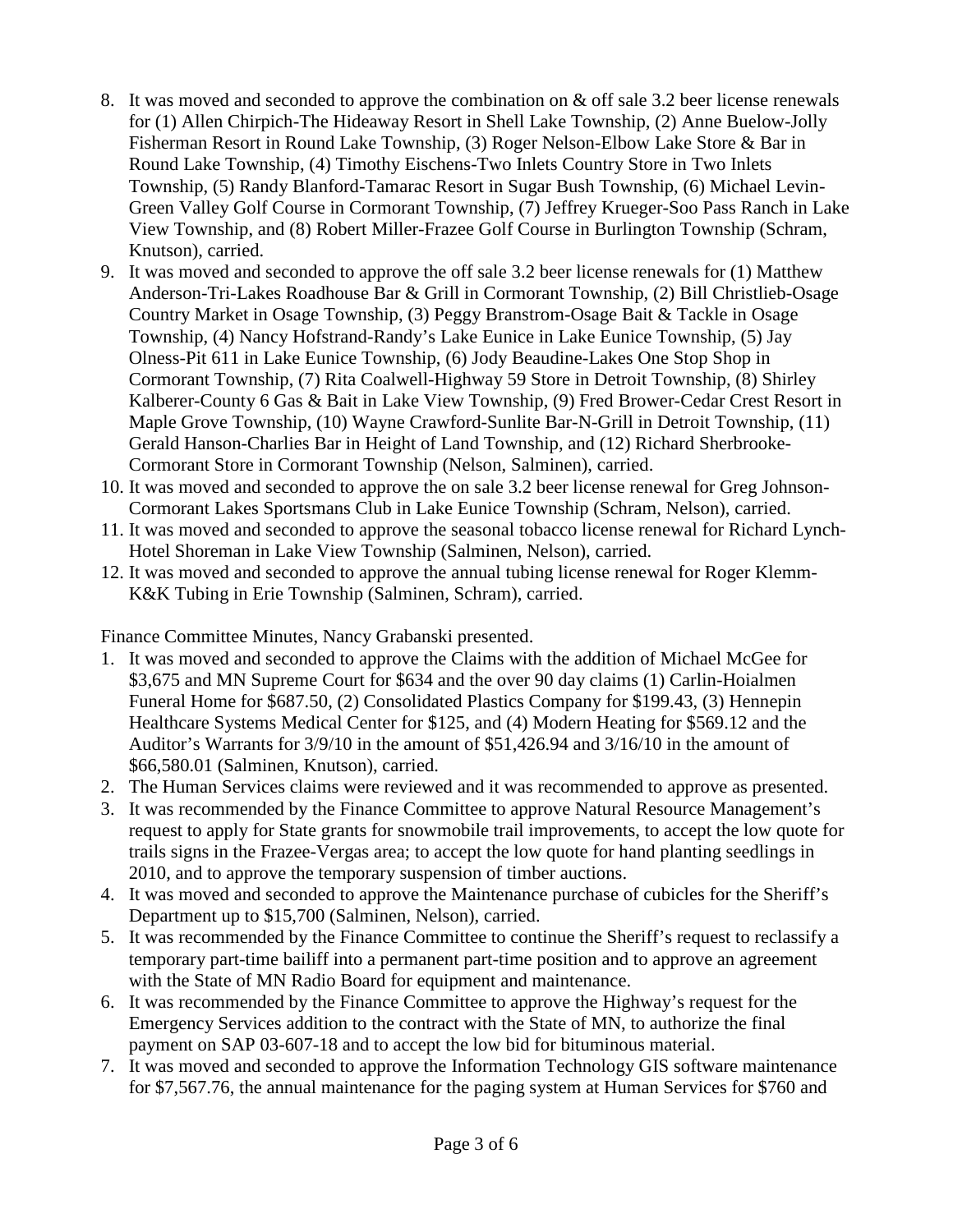- 8. It was moved and seconded to approve the combination on & off sale 3.2 beer license renewals for (1) Allen Chirpich-The Hideaway Resort in Shell Lake Township, (2) Anne Buelow-Jolly Fisherman Resort in Round Lake Township, (3) Roger Nelson-Elbow Lake Store & Bar in Round Lake Township, (4) Timothy Eischens-Two Inlets Country Store in Two Inlets Township, (5) Randy Blanford-Tamarac Resort in Sugar Bush Township, (6) Michael Levin-Green Valley Golf Course in Cormorant Township, (7) Jeffrey Krueger-Soo Pass Ranch in Lake View Township, and (8) Robert Miller-Frazee Golf Course in Burlington Township (Schram, Knutson), carried.
- 9. It was moved and seconded to approve the off sale 3.2 beer license renewals for (1) Matthew Anderson-Tri-Lakes Roadhouse Bar & Grill in Cormorant Township, (2) Bill Christlieb-Osage Country Market in Osage Township, (3) Peggy Branstrom-Osage Bait & Tackle in Osage Township, (4) Nancy Hofstrand-Randy's Lake Eunice in Lake Eunice Township, (5) Jay Olness-Pit 611 in Lake Eunice Township, (6) Jody Beaudine-Lakes One Stop Shop in Cormorant Township, (7) Rita Coalwell-Highway 59 Store in Detroit Township, (8) Shirley Kalberer-County 6 Gas & Bait in Lake View Township, (9) Fred Brower-Cedar Crest Resort in Maple Grove Township, (10) Wayne Crawford-Sunlite Bar-N-Grill in Detroit Township, (11) Gerald Hanson-Charlies Bar in Height of Land Township, and (12) Richard Sherbrooke-Cormorant Store in Cormorant Township (Nelson, Salminen), carried.
- 10. It was moved and seconded to approve the on sale 3.2 beer license renewal for Greg Johnson-Cormorant Lakes Sportsmans Club in Lake Eunice Township (Schram, Nelson), carried.
- 11. It was moved and seconded to approve the seasonal tobacco license renewal for Richard Lynch-Hotel Shoreman in Lake View Township (Salminen, Nelson), carried.
- 12. It was moved and seconded to approve the annual tubing license renewal for Roger Klemm-K&K Tubing in Erie Township (Salminen, Schram), carried.

Finance Committee Minutes, Nancy Grabanski presented.

- 1. It was moved and seconded to approve the Claims with the addition of Michael McGee for \$3,675 and MN Supreme Court for \$634 and the over 90 day claims (1) Carlin-Hoialmen Funeral Home for \$687.50, (2) Consolidated Plastics Company for \$199.43, (3) Hennepin Healthcare Systems Medical Center for \$125, and (4) Modern Heating for \$569.12 and the Auditor's Warrants for 3/9/10 in the amount of \$51,426.94 and 3/16/10 in the amount of \$66,580.01 (Salminen, Knutson), carried.
- 2. The Human Services claims were reviewed and it was recommended to approve as presented.
- 3. It was recommended by the Finance Committee to approve Natural Resource Management's request to apply for State grants for snowmobile trail improvements, to accept the low quote for trails signs in the Frazee-Vergas area; to accept the low quote for hand planting seedlings in 2010, and to approve the temporary suspension of timber auctions.
- 4. It was moved and seconded to approve the Maintenance purchase of cubicles for the Sheriff's Department up to \$15,700 (Salminen, Nelson), carried.
- 5. It was recommended by the Finance Committee to continue the Sheriff's request to reclassify a temporary part-time bailiff into a permanent part-time position and to approve an agreement with the State of MN Radio Board for equipment and maintenance.
- 6. It was recommended by the Finance Committee to approve the Highway's request for the Emergency Services addition to the contract with the State of MN, to authorize the final payment on SAP 03-607-18 and to accept the low bid for bituminous material.
- 7. It was moved and seconded to approve the Information Technology GIS software maintenance for \$7,567.76, the annual maintenance for the paging system at Human Services for \$760 and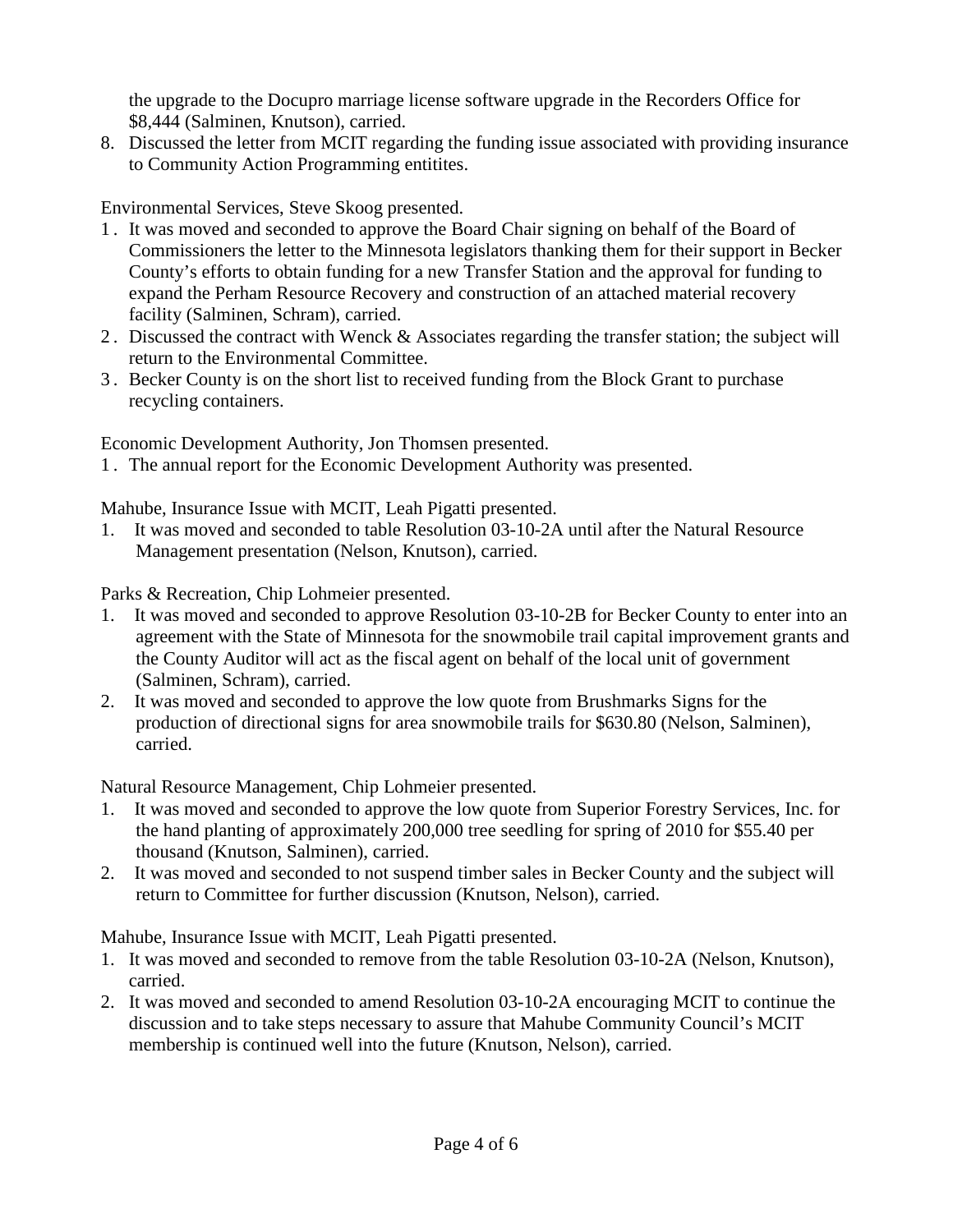the upgrade to the Docupro marriage license software upgrade in the Recorders Office for \$8,444 (Salminen, Knutson), carried.

8. Discussed the letter from MCIT regarding the funding issue associated with providing insurance to Community Action Programming entitites.

Environmental Services, Steve Skoog presented.

- 1 . It was moved and seconded to approve the Board Chair signing on behalf of the Board of Commissioners the letter to the Minnesota legislators thanking them for their support in Becker County's efforts to obtain funding for a new Transfer Station and the approval for funding to expand the Perham Resource Recovery and construction of an attached material recovery facility (Salminen, Schram), carried.
- 2 . Discussed the contract with Wenck & Associates regarding the transfer station; the subject will return to the Environmental Committee.
- 3 . Becker County is on the short list to received funding from the Block Grant to purchase recycling containers.

Economic Development Authority, Jon Thomsen presented.

1 . The annual report for the Economic Development Authority was presented.

Mahube, Insurance Issue with MCIT, Leah Pigatti presented.

1. It was moved and seconded to table Resolution 03-10-2A until after the Natural Resource Management presentation (Nelson, Knutson), carried.

Parks & Recreation, Chip Lohmeier presented.

- 1. It was moved and seconded to approve Resolution 03-10-2B for Becker County to enter into an agreement with the State of Minnesota for the snowmobile trail capital improvement grants and the County Auditor will act as the fiscal agent on behalf of the local unit of government (Salminen, Schram), carried.
- 2. It was moved and seconded to approve the low quote from Brushmarks Signs for the production of directional signs for area snowmobile trails for \$630.80 (Nelson, Salminen), carried.

Natural Resource Management, Chip Lohmeier presented.

- 1. It was moved and seconded to approve the low quote from Superior Forestry Services, Inc. for the hand planting of approximately 200,000 tree seedling for spring of 2010 for \$55.40 per thousand (Knutson, Salminen), carried.
- 2. It was moved and seconded to not suspend timber sales in Becker County and the subject will return to Committee for further discussion (Knutson, Nelson), carried.

Mahube, Insurance Issue with MCIT, Leah Pigatti presented.

- 1. It was moved and seconded to remove from the table Resolution 03-10-2A (Nelson, Knutson), carried.
- 2. It was moved and seconded to amend Resolution 03-10-2A encouraging MCIT to continue the discussion and to take steps necessary to assure that Mahube Community Council's MCIT membership is continued well into the future (Knutson, Nelson), carried.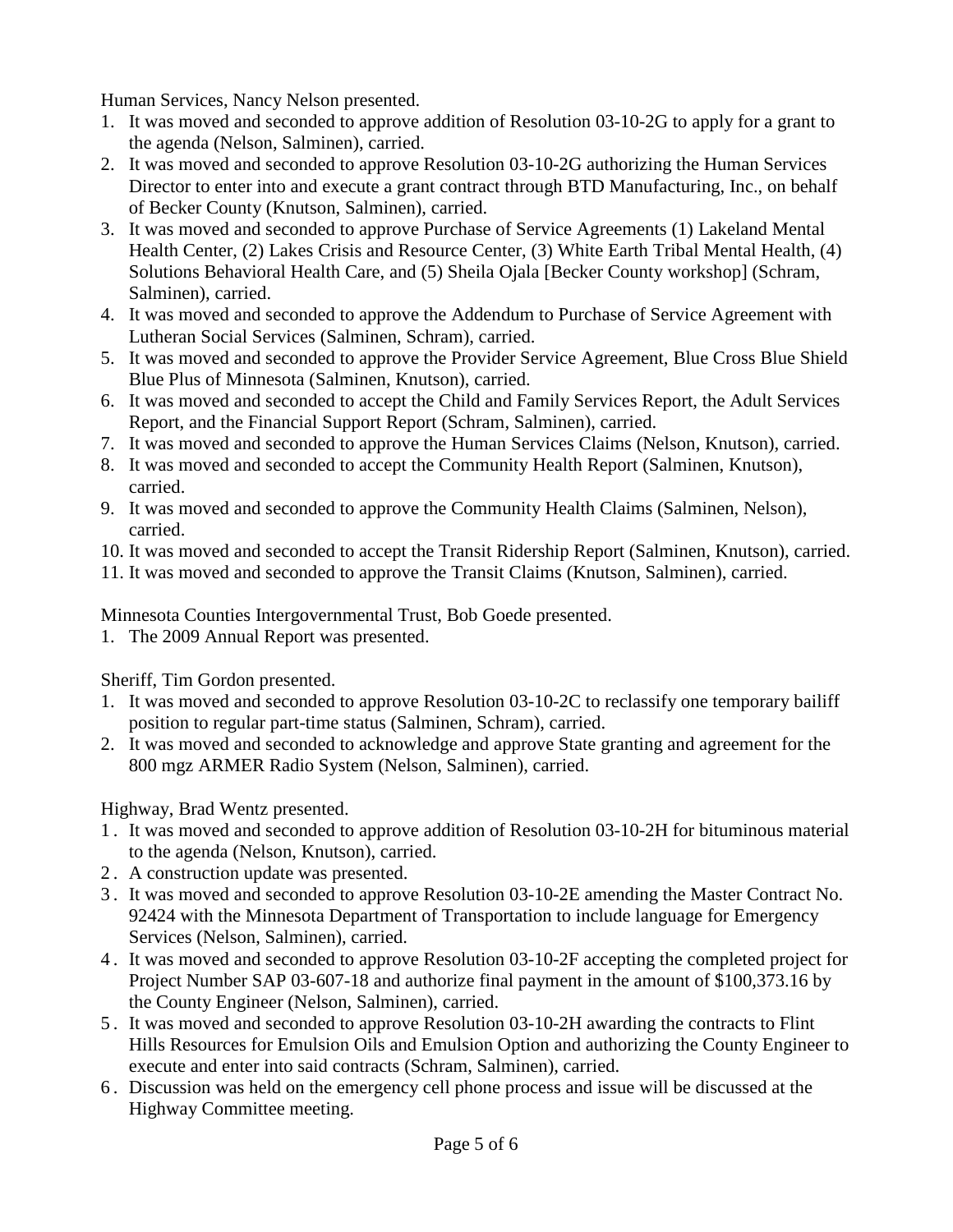Human Services, Nancy Nelson presented.

- 1. It was moved and seconded to approve addition of Resolution 03-10-2G to apply for a grant to the agenda (Nelson, Salminen), carried.
- 2. It was moved and seconded to approve Resolution 03-10-2G authorizing the Human Services Director to enter into and execute a grant contract through BTD Manufacturing, Inc., on behalf of Becker County (Knutson, Salminen), carried.
- 3. It was moved and seconded to approve Purchase of Service Agreements (1) Lakeland Mental Health Center, (2) Lakes Crisis and Resource Center, (3) White Earth Tribal Mental Health, (4) Solutions Behavioral Health Care, and (5) Sheila Ojala [Becker County workshop] (Schram, Salminen), carried.
- 4. It was moved and seconded to approve the Addendum to Purchase of Service Agreement with Lutheran Social Services (Salminen, Schram), carried.
- 5. It was moved and seconded to approve the Provider Service Agreement, Blue Cross Blue Shield Blue Plus of Minnesota (Salminen, Knutson), carried.
- 6. It was moved and seconded to accept the Child and Family Services Report, the Adult Services Report, and the Financial Support Report (Schram, Salminen), carried.
- 7. It was moved and seconded to approve the Human Services Claims (Nelson, Knutson), carried.
- 8. It was moved and seconded to accept the Community Health Report (Salminen, Knutson), carried.
- 9. It was moved and seconded to approve the Community Health Claims (Salminen, Nelson), carried.
- 10. It was moved and seconded to accept the Transit Ridership Report (Salminen, Knutson), carried.
- 11. It was moved and seconded to approve the Transit Claims (Knutson, Salminen), carried.

Minnesota Counties Intergovernmental Trust, Bob Goede presented.

1. The 2009 Annual Report was presented.

Sheriff, Tim Gordon presented.

- 1. It was moved and seconded to approve Resolution 03-10-2C to reclassify one temporary bailiff position to regular part-time status (Salminen, Schram), carried.
- 2. It was moved and seconded to acknowledge and approve State granting and agreement for the 800 mgz ARMER Radio System (Nelson, Salminen), carried.

Highway, Brad Wentz presented.

- 1 . It was moved and seconded to approve addition of Resolution 03-10-2H for bituminous material to the agenda (Nelson, Knutson), carried.
- 2 . A construction update was presented.
- 3 . It was moved and seconded to approve Resolution 03-10-2E amending the Master Contract No. 92424 with the Minnesota Department of Transportation to include language for Emergency Services (Nelson, Salminen), carried.
- 4 . It was moved and seconded to approve Resolution 03-10-2F accepting the completed project for Project Number SAP 03-607-18 and authorize final payment in the amount of \$100,373.16 by the County Engineer (Nelson, Salminen), carried.
- 5 . It was moved and seconded to approve Resolution 03-10-2H awarding the contracts to Flint Hills Resources for Emulsion Oils and Emulsion Option and authorizing the County Engineer to execute and enter into said contracts (Schram, Salminen), carried.
- 6 . Discussion was held on the emergency cell phone process and issue will be discussed at the Highway Committee meeting.